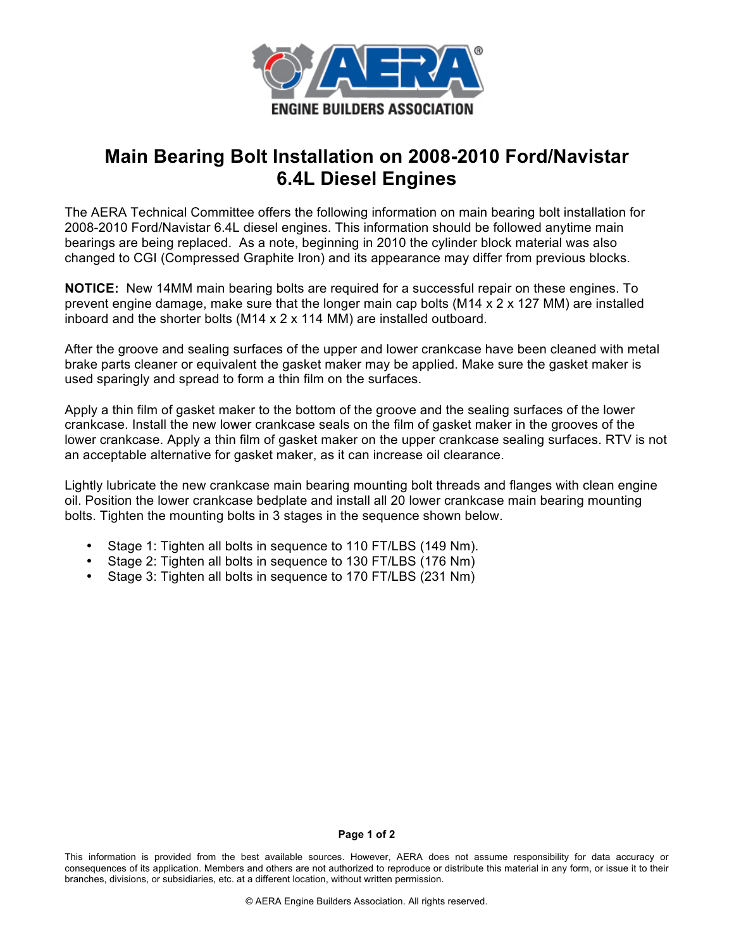

## **Main Bearing Bolt Installation on 2008-2010 Ford/Navistar 6.4L Diesel Engines**

The AERA Technical Committee offers the following information on main bearing bolt installation for 2008-2010 Ford/Navistar 6.4L diesel engines. This information should be followed anytime main bearings are being replaced. As a note, beginning in 2010 the cylinder block material was also changed to CGI (Compressed Graphite Iron) and its appearance may differ from previous blocks.

**NOTICE:** New 14MM main bearing bolts are required for a successful repair on these engines. To prevent engine damage, make sure that the longer main cap bolts (M14 x 2 x 127 MM) are installed inboard and the shorter bolts (M14 x 2 x 114 MM) are installed outboard.

After the groove and sealing surfaces of the upper and lower crankcase have been cleaned with metal brake parts cleaner or equivalent the gasket maker may be applied. Make sure the gasket maker is used sparingly and spread to form a thin film on the surfaces.

Apply a thin film of gasket maker to the bottom of the groove and the sealing surfaces of the lower crankcase. Install the new lower crankcase seals on the film of gasket maker in the grooves of the lower crankcase. Apply a thin film of gasket maker on the upper crankcase sealing surfaces. RTV is not an acceptable alternative for gasket maker, as it can increase oil clearance.

Lightly lubricate the new crankcase main bearing mounting bolt threads and flanges with clean engine oil. Position the lower crankcase bedplate and install all 20 lower crankcase main bearing mounting bolts. Tighten the mounting bolts in 3 stages in the sequence shown below.

- Stage 1: Tighten all bolts in sequence to 110 FT/LBS (149 Nm).
- Stage 2: Tighten all bolts in sequence to 130 FT/LBS (176 Nm)
- Stage 3: Tighten all bolts in sequence to 170 FT/LBS (231 Nm)

## **Page 1 of 2**

This information is provided from the best available sources. However, AERA does not assume responsibility for data accuracy or consequences of its application. Members and others are not authorized to reproduce or distribute this material in any form, or issue it to their branches, divisions, or subsidiaries, etc. at a different location, without written permission.